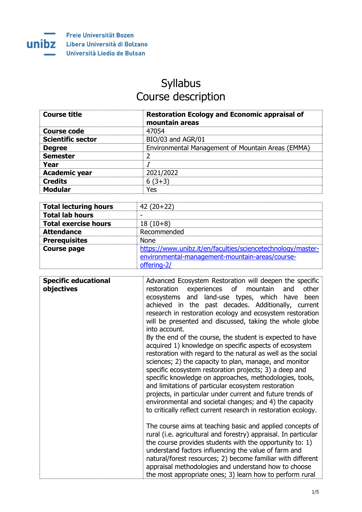

## Syllabus Course description

| <b>Course title</b>      | <b>Restoration Ecology and Economic appraisal of</b><br>mountain areas |
|--------------------------|------------------------------------------------------------------------|
| <b>Course code</b>       | 47054                                                                  |
| <b>Scientific sector</b> | BIO/03 and AGR/01                                                      |
| <b>Degree</b>            | Environmental Management of Mountain Areas (EMMA)                      |
| <b>Semester</b>          |                                                                        |
| Year                     |                                                                        |
| <b>Academic year</b>     | 2021/2022                                                              |
| <b>Credits</b>           | $6(3+3)$                                                               |
| <b>Modular</b>           | Yes                                                                    |

| <b>Total lecturing hours</b> | $42(20+22)$                                                                                                                   |
|------------------------------|-------------------------------------------------------------------------------------------------------------------------------|
| <b>Total lab hours</b>       |                                                                                                                               |
| <b>Total exercise hours</b>  | $18(10+8)$                                                                                                                    |
| <b>Attendance</b>            | Recommended                                                                                                                   |
| <b>Prerequisites</b>         | <b>None</b>                                                                                                                   |
| <b>Course page</b>           | https://www.unibz.it/en/faculties/sciencetechnology/master-<br>environmental-management-mountain-areas/course-<br>offering-2/ |

| <b>Specific educational</b><br>objectives | Advanced Ecosystem Restoration will deepen the specific<br>restoration experiences of mountain<br>and<br>other<br>ecosystems and<br>land-use types, which have<br>been<br>achieved in the past decades. Additionally, current<br>research in restoration ecology and ecosystem restoration<br>will be presented and discussed, taking the whole globe<br>into account.                                                                                                                                                                                                                                               |
|-------------------------------------------|----------------------------------------------------------------------------------------------------------------------------------------------------------------------------------------------------------------------------------------------------------------------------------------------------------------------------------------------------------------------------------------------------------------------------------------------------------------------------------------------------------------------------------------------------------------------------------------------------------------------|
|                                           | By the end of the course, the student is expected to have<br>acquired 1) knowledge on specific aspects of ecosystem<br>restoration with regard to the natural as well as the social<br>sciences; 2) the capacity to plan, manage, and monitor<br>specific ecosystem restoration projects; 3) a deep and<br>specific knowledge on approaches, methodologies, tools,<br>and limitations of particular ecosystem restoration<br>projects, in particular under current and future trends of<br>environmental and societal changes; and 4) the capacity<br>to critically reflect current research in restoration ecology. |
|                                           | The course aims at teaching basic and applied concepts of<br>rural (i.e. agricultural and forestry) appraisal. In particular<br>the course provides students with the opportunity to: 1)<br>understand factors influencing the value of farm and<br>natural/forest resources; 2) become familiar with different<br>appraisal methodologies and understand how to choose<br>the most appropriate ones; 3) learn how to perform rural                                                                                                                                                                                  |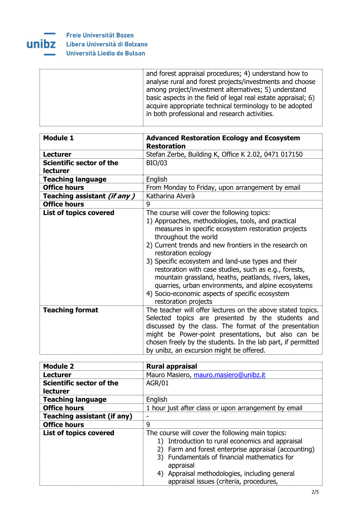

| <b>Module 1</b>                             | <b>Advanced Restoration Ecology and Ecosystem</b>                                                                                                                                                                                                                                                                                                                                                                                                                                                                                                                           |
|---------------------------------------------|-----------------------------------------------------------------------------------------------------------------------------------------------------------------------------------------------------------------------------------------------------------------------------------------------------------------------------------------------------------------------------------------------------------------------------------------------------------------------------------------------------------------------------------------------------------------------------|
|                                             | <b>Restoration</b>                                                                                                                                                                                                                                                                                                                                                                                                                                                                                                                                                          |
| <b>Lecturer</b>                             | Stefan Zerbe, Building K, Office K 2.02, 0471 017150                                                                                                                                                                                                                                                                                                                                                                                                                                                                                                                        |
| Scientific sector of the<br><b>lecturer</b> | <b>BIO/03</b>                                                                                                                                                                                                                                                                                                                                                                                                                                                                                                                                                               |
| <b>Teaching language</b>                    | English                                                                                                                                                                                                                                                                                                                                                                                                                                                                                                                                                                     |
| <b>Office hours</b>                         | From Monday to Friday, upon arrangement by email                                                                                                                                                                                                                                                                                                                                                                                                                                                                                                                            |
| Teaching assistant (if any)                 | Katharina Alverà                                                                                                                                                                                                                                                                                                                                                                                                                                                                                                                                                            |
| <b>Office hours</b>                         | 9                                                                                                                                                                                                                                                                                                                                                                                                                                                                                                                                                                           |
| List of topics covered                      | The course will cover the following topics:<br>1) Approaches, methodologies, tools, and practical<br>measures in specific ecosystem restoration projects<br>throughout the world<br>2) Current trends and new frontiers in the research on<br>restoration ecology<br>3) Specific ecosystem and land-use types and their<br>restoration with case studies, such as e.g., forests,<br>mountain grassland, heaths, peatlands, rivers, lakes,<br>quarries, urban environments, and alpine ecosystems<br>4) Socio-economic aspects of specific ecosystem<br>restoration projects |
| <b>Teaching format</b>                      | The teacher will offer lectures on the above stated topics.<br>Selected topics are presented by the students and<br>discussed by the class. The format of the presentation<br>might be Power-point presentations, but also can be<br>chosen freely by the students. In the lab part, if permitted<br>by unibz, an excursion might be offered.                                                                                                                                                                                                                               |

| <b>Module 2</b>                             | <b>Rural appraisal</b>                                                                                                                                                                                                                                                                                                   |
|---------------------------------------------|--------------------------------------------------------------------------------------------------------------------------------------------------------------------------------------------------------------------------------------------------------------------------------------------------------------------------|
| <b>Lecturer</b>                             | Mauro Masiero, mauro.masiero@unibz.it                                                                                                                                                                                                                                                                                    |
| Scientific sector of the<br><b>lecturer</b> | <b>AGR/01</b>                                                                                                                                                                                                                                                                                                            |
| <b>Teaching language</b>                    | English                                                                                                                                                                                                                                                                                                                  |
| <b>Office hours</b>                         | 1 hour just after class or upon arrangement by email                                                                                                                                                                                                                                                                     |
| <b>Teaching assistant (if any)</b>          |                                                                                                                                                                                                                                                                                                                          |
| <b>Office hours</b>                         | 9                                                                                                                                                                                                                                                                                                                        |
| <b>List of topics covered</b>               | The course will cover the following main topics:<br>1) Introduction to rural economics and appraisal<br>Farm and forest enterprise appraisal (accounting)<br>2)<br>3) Fundamentals of financial mathematics for<br>appraisal<br>4) Appraisal methodologies, including general<br>appraisal issues (criteria, procedures, |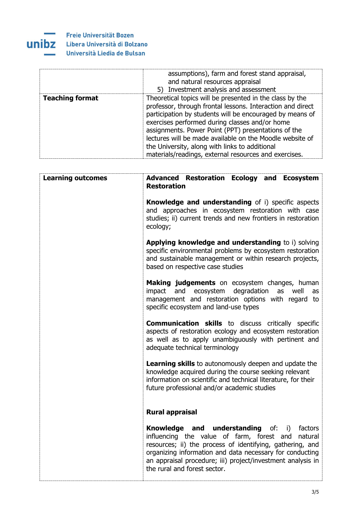

|                        | assumptions), farm and forest stand appraisal,<br>and natural resources appraisal<br>5) Investment analysis and assessment                                                                                                                                                                                                                                                                                                                                         |
|------------------------|--------------------------------------------------------------------------------------------------------------------------------------------------------------------------------------------------------------------------------------------------------------------------------------------------------------------------------------------------------------------------------------------------------------------------------------------------------------------|
| <b>Teaching format</b> | Theoretical topics will be presented in the class by the<br>professor, through frontal lessons. Interaction and direct<br>participation by students will be encouraged by means of<br>exercises performed during classes and/or home<br>assignments. Power Point (PPT) presentations of the<br>lectures will be made available on the Moodle website of<br>the University, along with links to additional<br>materials/readings, external resources and exercises. |

| <b>Learning outcomes</b> | <b>Advanced Restoration Ecology and Ecosystem</b><br><b>Restoration</b>                                                                                                                                                                                                                                                        |
|--------------------------|--------------------------------------------------------------------------------------------------------------------------------------------------------------------------------------------------------------------------------------------------------------------------------------------------------------------------------|
|                          | <b>Knowledge and understanding</b> of i) specific aspects<br>and approaches in ecosystem restoration with case<br>studies; ii) current trends and new frontiers in restoration<br>ecology;                                                                                                                                     |
|                          | Applying knowledge and understanding to i) solving<br>specific environmental problems by ecosystem restoration<br>and sustainable management or within research projects,<br>based on respective case studies                                                                                                                  |
|                          | Making judgements on ecosystem changes, human<br>impact and ecosystem degradation<br>as<br>well<br>as<br>management and restoration options with regard to<br>specific ecosystem and land-use types                                                                                                                            |
|                          | <b>Communication skills</b> to discuss critically specific<br>aspects of restoration ecology and ecosystem restoration<br>as well as to apply unambiguously with pertinent and<br>adequate technical terminology                                                                                                               |
|                          | <b>Learning skills</b> to autonomously deepen and update the<br>knowledge acquired during the course seeking relevant<br>information on scientific and technical literature, for their<br>future professional and/or academic studies                                                                                          |
|                          | <b>Rural appraisal</b>                                                                                                                                                                                                                                                                                                         |
|                          | <b>Knowledge and understanding</b> of: i) factors<br>influencing the value of farm, forest and natural<br>resources; ii) the process of identifying, gathering, and<br>organizing information and data necessary for conducting<br>an appraisal procedure; iii) project/investment analysis in<br>the rural and forest sector. |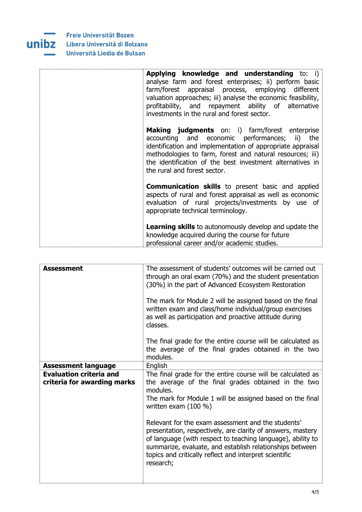

| Applying knowledge and understanding to: i)<br>analyse farm and forest enterprises; ii) perform basic<br>farm/forest appraisal process, employing different<br>valuation approaches; iii) analyse the economic feasibility,<br>profitability, and repayment ability of alternative<br>investments in the rural and forest sector. |
|-----------------------------------------------------------------------------------------------------------------------------------------------------------------------------------------------------------------------------------------------------------------------------------------------------------------------------------|
| <b>Making judgments</b> on: i) farm/forest enterprise<br>accounting and economic performances; ii) the<br>identification and implementation of appropriate appraisal<br>methodologies to farm, forest and natural resources; iii)<br>the identification of the best investment alternatives in<br>the rural and forest sector.    |
| <b>Communication skills</b> to present basic and applied<br>aspects of rural and forest appraisal as well as economic<br>evaluation of rural projects/investments by use of<br>appropriate technical terminology.                                                                                                                 |
| <b>Learning skills</b> to autonomously develop and update the<br>knowledge acquired during the course for future<br>professional career and/or academic studies.                                                                                                                                                                  |

| Assessment                                                    | The assessment of students' outcomes will be carried out<br>through an oral exam (70%) and the student presentation<br>(30%) in the part of Advanced Ecosystem Restoration<br>The mark for Module 2 will be assigned based on the final<br>written exam and class/home individual/group exercises<br>as well as participation and proactive attitude during<br>classes.                                                                                                                                                         |
|---------------------------------------------------------------|---------------------------------------------------------------------------------------------------------------------------------------------------------------------------------------------------------------------------------------------------------------------------------------------------------------------------------------------------------------------------------------------------------------------------------------------------------------------------------------------------------------------------------|
|                                                               | The final grade for the entire course will be calculated as<br>the average of the final grades obtained in the two<br>modules.                                                                                                                                                                                                                                                                                                                                                                                                  |
| <b>Assessment language</b>                                    | English                                                                                                                                                                                                                                                                                                                                                                                                                                                                                                                         |
| <b>Evaluation criteria and</b><br>criteria for awarding marks | The final grade for the entire course will be calculated as<br>the average of the final grades obtained in the two<br>modules.<br>The mark for Module 1 will be assigned based on the final<br>written exam $(100 %)$<br>Relevant for the exam assessment and the students'<br>presentation, respectively, are clarity of answers, mastery<br>of language (with respect to teaching language), ability to<br>summarize, evaluate, and establish relationships between<br>topics and critically reflect and interpret scientific |
|                                                               | research;                                                                                                                                                                                                                                                                                                                                                                                                                                                                                                                       |